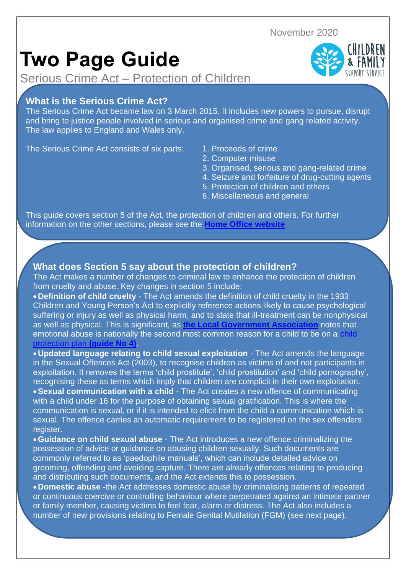November 2020

# **Two Page Guide**

Serious Crime Act – Protection of Children

## **What is the Serious Crime Act?**

The Serious Crime Act became law on 3 March 2015. It includes new powers to pursue, disrupt and bring to justice people involved in serious and organised crime and gang related activity. The law applies to England and Wales only.

The Serious Crime Act consists of six parts: 1. Proceeds of crime

- 
- 2. Computer misuse
- 3. Organised, serious and gang-related crime
- 4. Seizure and forfeiture of drug-cutting agents
- 5. Protection of children and others
- 6. Miscellaneous and general.

This guide covers section 5 of the Act, the protection of children and others. For further information on the other sections, please see the **[Home Office website](https://www.gov.uk/government/collections/serious-crime-bill)**

### **What does Section 5 say about the protection of children?**

The Act makes a number of changes to criminal law to enhance the protection of children from cruelty and abuse. Key changes in section 5 include:

•**Definition of child cruelty** - The Act amends the definition of child cruelty in the 1933 Children and Young Person's Act to explicitly reference actions likely to cause psychological suffering or injury as well as physical harm, and to state that ill-treatment can be nonphysical as well as physical. This is significant, as **[the Local Government Association](http://www.local.gov.uk/documents/10180/11637/L15-142+Get+in+on+the+Act+Serious+Crime+Act+2015_v03.pdf/7715a56f-2a68-4a3e-b6e6-ce02d1987574)** notes that emotional abuse is nationally the second most common reason for a child to be on a [child](https://api.warwickshire.gov.uk/documents/WCCC-1642278725-4611)  [protection plan](https://api.warwickshire.gov.uk/documents/WCCC-1642278725-4611) **(guide No 4)**.

•**Updated language relating to child sexual exploitation** - The Act amends the language in the Sexual Offences Act (2003), to recognise children as victims of and not participants in exploitation. It removes the terms 'child prostitute', 'child prostitution' and 'child pornography', recognising these as terms which imply that children are complicit in their own exploitation. •**Sexual communication with a child** - The Act creates a new offence of communicating

with a child under 16 for the purpose of obtaining sexual gratification. This is where the communication is sexual, or if it is intended to elicit from the child a communication which is sexual. The offence carries an automatic requirement to be registered on the sex offenders register.

•**Guidance on child sexual abuse** - The Act introduces a new offence criminalizing the possession of advice or guidance on abusing children sexually. Such documents are commonly referred to as 'paedophile manuals', which can include detailed advice on grooming, offending and avoiding capture. There are already offences relating to producing and distributing such documents, and the Act extends this to possession.

•**Domestic abuse -**the Act addresses domestic abuse by criminalising patterns of repeated or continuous coercive or controlling behaviour where perpetrated against an intimate partner or family member, causing victims to feel fear, alarm or distress. The Act also includes a number of new provisions relating to Female Genital Mutilation (FGM) (see next page).